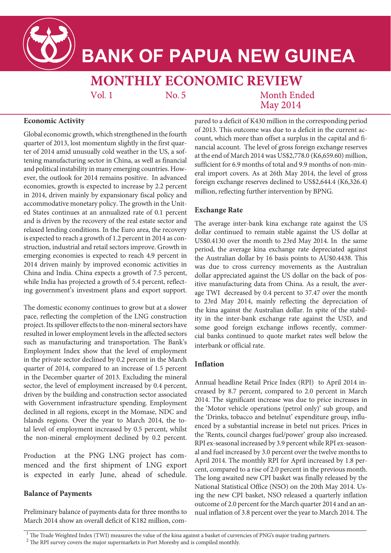

# **BANK OF PAPUA NEW GUINEA**

## **MONTHLY ECONOMIC REVIEW**

 $Vol.1$ 

No. 5

Month Ended **May 2014** 

#### **Economic Activity**

Global economic growth, which strengthened in the fourth quarter of 2013, lost momentum slightly in the first quarter of 2014 amid unusually cold weather in the US, a softening manufacturing sector in China, as well as financial and political instability in many emerging countries. However, the outlook for 2014 remains positive. In advanced economies, growth is expected to increase by 2.2 percent in 2014, driven mainly by expansionary fiscal policy and accommodative monetary policy. The growth in the United States continues at an annualized rate of 0.1 percent and is driven by the recovery of the real estate sector and relaxed lending conditions. In the Euro area, the recovery is expected to reach a growth of 1.2 percent in 2014 as construction, industrial and retail sectors improve. Growth in emerging economies is expected to reach 4.9 percent in 2014 driven mainly by improved economic activities in China and India. China expects a growth of 7.5 percent, while India has projected a growth of 5.4 percent, reflecting government's investment plans and export support.

The domestic economy continues to grow but at a slower pace, reflecting the completion of the LNG construction project. Its spillover effects to the non-mineral sectors have resulted in lower employment levels in the affected sectors such as manufacturing and transportation. The Bank's Employment Index show that the level of employment in the private sector declined by 0.2 percent in the March quarter of 2014, compared to an increase of 1.5 percent in the December quarter of 2013. Excluding the mineral sector, the level of employment increased by 0.4 percent, driven by the building and construction sector associated with Government infrastructure spending. Employment declined in all regions, except in the Momase, NDC and Islands regions. Over the year to March 2014, the total level of employment increased by 0.5 percent, whilst the non-mineral employment declined by 0.2 percent.

Production at the PNG LNG project has commenced and the first shipment of LNG export is expected in early June, ahead of schedule.

#### **Balance of Payments**

Preliminary balance of payments data for three months to March 2014 show an overall deficit of K182 million, com-

pared to a deficit of K430 million in the corresponding period of 2013. This outcome was due to a deficit in the current account, which more than offset a surplus in the capital and financial account. The level of gross foreign exchange reserves at the end of March 2014 was US\$2,778.0 (K6,659.60) million, sufficient for 6.9 months of total and 9.9 months of non-mineral import covers. As at 26th May 2014, the level of gross foreign exchange reserves declined to US\$2,644.4 (K6,326.4) million, reflecting further intervention by BPNG.

#### **Exchange Rate**

The average inter-bank kina exchange rate against the US dollar continued to remain stable against the US dollar at US\$0.4130 over the month to 23rd May 2014. In the same period, the average kina exchange rate depreciated against the Australian dollar by 16 basis points to AU\$0.4438. This was due to cross currency movements as the Australian dollar appreciated against the US dollar on the back of positive manufacturing data from China. As a result, the average TWI decreased by 0.4 percent to 37.47 over the month to 23rd May 2014, mainly reflecting the depreciation of the kina against the Australian dollar. In spite of the stability in the inter-bank exchange rate against the USD, and some good foreign exchange inflows recently, commercial banks continued to quote market rates well below the interbank or official rate.

#### **Inflation**

Annual headline Retail Price Index (RPI) to April 2014 increased by 8.7 percent, compared to 2.0 percent in March 2014. The significant increase was due to price increases in the 'Motor vehicle operations (petrol only)' sub group, and the 'Drinks, tobacco and betelnut' expenditure group, influenced by a substantial increase in betel nut prices. Prices in the 'Rents, council charges fuel/power' group also increased. RPI ex-seasonal increased by 3.9 percent while RPI ex-seasonal and fuel increased by 3.0 percent over the twelve months to April 2014. The monthly RPI for April increased by 1.8 percent, compared to a rise of 2.0 percent in the previous month. The long awaited new CPI basket was finally released by the National Statistical Office (NSO) on the 20th May 2014. Using the new CPI basket, NSO released a quarterly inflation outcome of 2.0 percent for the March quarter 2014 and an annual inflation of 3.8 percent over the year to March 2014. The

 $1$  The Trade Weighted Index (TWI) measures the value of the kina against a basket of currencies of PNG's major trading partners.

<sup>&</sup>lt;sup>2</sup> The RPI survey covers the major supermarkets in Port Moresby and is compiled monthly.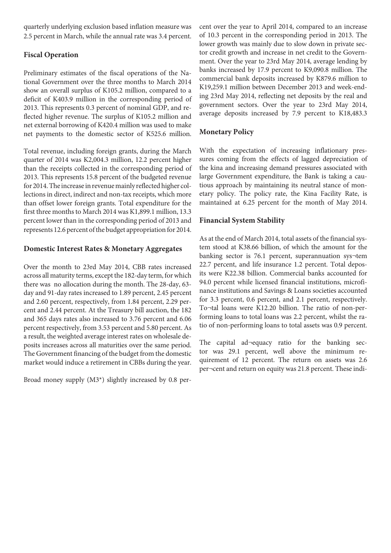quarterly underlying exclusion based inflation measure was 2.5 percent in March, while the annual rate was 3.4 percent.

#### **Fiscal Operation**

Preliminary estimates of the fiscal operations of the National Government over the three months to March 2014 show an overall surplus of K105.2 million, compared to a deficit of K403.9 million in the corresponding period of 2013. This represents 0.3 percent of nominal GDP, and reflected higher revenue. The surplus of K105.2 million and net external borrowing of K420.4 million was used to make net payments to the domestic sector of K525.6 million.

Total revenue, including foreign grants, during the March quarter of 2014 was K2,004.3 million, 12.2 percent higher than the receipts collected in the corresponding period of 2013. This represents 15.8 percent of the budgeted revenue for 2014. The increase in revenue mainly reflected higher collections in direct, indirect and non-tax receipts, which more than offset lower foreign grants. Total expenditure for the first three months to March 2014 was K1,899.1 million, 13.3 percent lower than in the corresponding period of 2013 and represents 12.6 percent of the budget appropriation for 2014.

#### **Domestic Interest Rates & Monetary Aggregates**

Over the month to 23rd May 2014, CBB rates increased across all maturity terms, except the 182-day term, for which there was no allocation during the month. The 28-day, 63 day and 91-day rates increased to 1.89 percent, 2.45 percent and 2.60 percent, respectively, from 1.84 percent, 2.29 percent and 2.44 percent. At the Treasury bill auction, the 182 and 365 days rates also increased to 3.76 percent and 6.06 percent respectively, from 3.53 percent and 5.80 percent. As a result, the weighted average interest rates on wholesale deposits increases across all maturities over the same period. The Government financing of the budget from the domestic market would induce a retirement in CBBs during the year.

Broad money supply (M3\*) slightly increased by 0.8 per-

cent over the year to April 2014, compared to an increase of 10.3 percent in the corresponding period in 2013. The lower growth was mainly due to slow down in private sector credit growth and increase in net credit to the Government. Over the year to 23rd May 2014, average lending by banks increased by 17.9 percent to K9,090.8 million. The commercial bank deposits increased by K879.6 million to K19,259.1 million between December 2013 and week-ending 23rd May 2014, reflecting net deposits by the real and government sectors. Over the year to 23rd May 2014, average deposits increased by 7.9 percent to K18,483.3

#### **Monetary Policy**

With the expectation of increasing inflationary pressures coming from the effects of lagged depreciation of the kina and increasing demand pressures associated with large Government expenditure, the Bank is taking a cautious approach by maintaining its neutral stance of monetary policy. The policy rate, the Kina Facility Rate, is maintained at 6.25 percent for the month of May 2014.

#### **Financial System Stability**

As at the end of March 2014, total assets of the financial system stood at K38.66 billion, of which the amount for the banking sector is 76.1 percent, superannuation sys¬tem 22.7 percent, and life insurance 1.2 percent. Total deposits were K22.38 billion. Commercial banks accounted for 94.0 percent while licensed financial institutions, microfinance institutions and Savings & Loans societies accounted for 3.3 percent, 0.6 percent, and 2.1 percent, respectively. To¬tal loans were K12.20 billion. The ratio of non-performing loans to total loans was 2.2 percent, whilst the ratio of non-performing loans to total assets was 0.9 percent.

The capital ad¬equacy ratio for the banking sector was 29.1 percent, well above the minimum requirement of 12 percent. The return on assets was 2.6 per¬cent and return on equity was 21.8 percent. These indi-